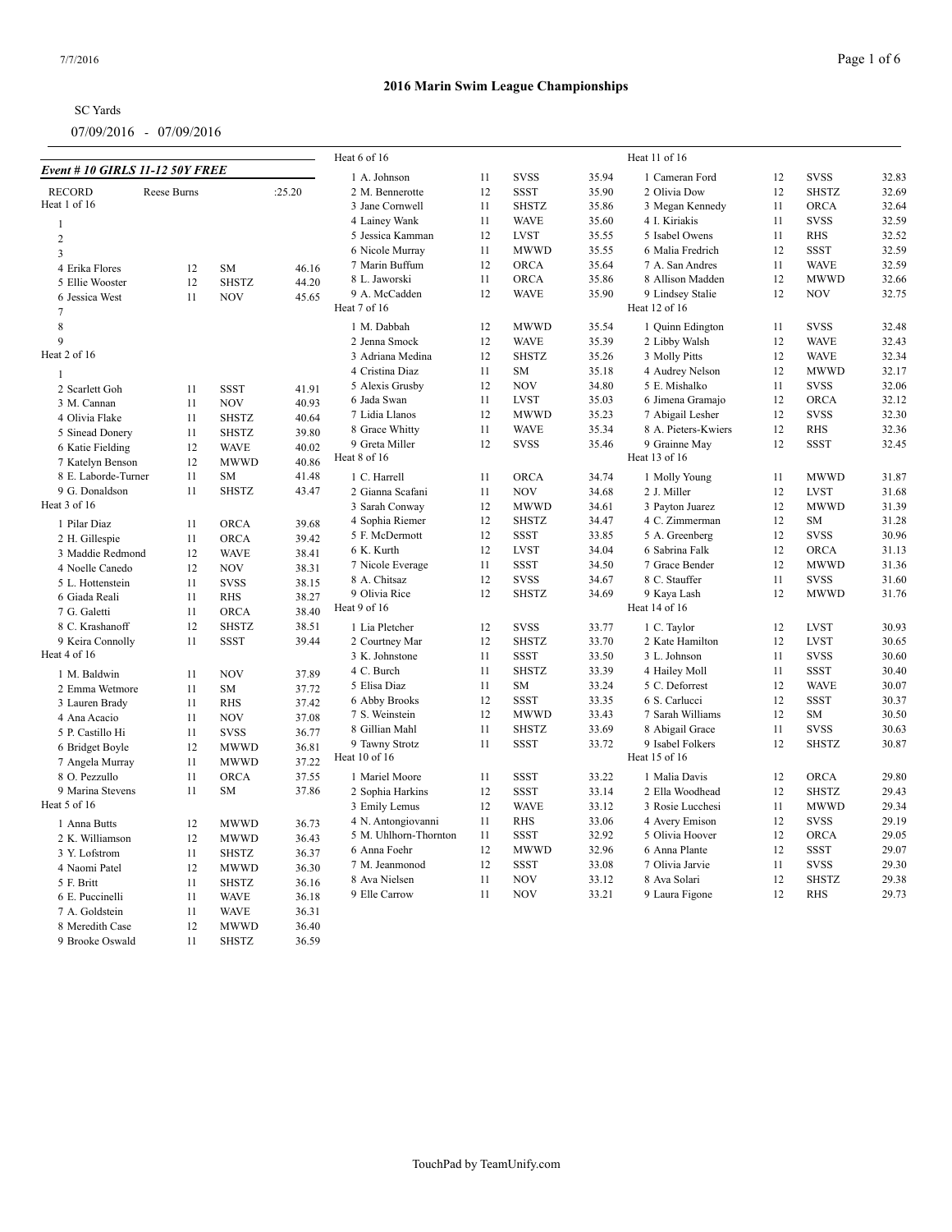| <b>SC</b> Yards |  |
|-----------------|--|
|                 |  |

|                                         |                    |                            |                | Heat 6 of 16                  |    |              |       | Heat 11 of 16                |    |              |       |
|-----------------------------------------|--------------------|----------------------------|----------------|-------------------------------|----|--------------|-------|------------------------------|----|--------------|-------|
| <b>Event # 10 GIRLS 11-12 50Y FREE</b>  |                    |                            |                | 1 A. Johnson                  | 11 | <b>SVSS</b>  | 35.94 | 1 Cameran Ford               | 12 | <b>SVSS</b>  | 32.83 |
| <b>RECORD</b>                           | <b>Reese Burns</b> |                            | :25.20         | 2 M. Bennerotte               | 12 | <b>SSST</b>  | 35.90 | 2 Olivia Dow                 | 12 | <b>SHSTZ</b> | 32.69 |
| Heat 1 of 16                            |                    |                            |                | 3 Jane Cornwell               | 11 | <b>SHSTZ</b> | 35.86 | 3 Megan Kennedy              | 11 | <b>ORCA</b>  | 32.64 |
| $\overline{1}$                          |                    |                            |                | 4 Lainey Wank                 | 11 | <b>WAVE</b>  | 35.60 | 4 I. Kiriakis                | 11 | <b>SVSS</b>  | 32.59 |
| 2                                       |                    |                            |                | 5 Jessica Kamman              | 12 | <b>LVST</b>  | 35.55 | 5 Isabel Owens               | 11 | <b>RHS</b>   | 32.52 |
| $\overline{3}$                          |                    |                            |                | 6 Nicole Murray               | 11 | <b>MWWD</b>  | 35.55 | 6 Malia Fredrich             | 12 | <b>SSST</b>  | 32.59 |
| 4 Erika Flores                          | 12                 | SM                         | 46.16          | 7 Marin Buffum                | 12 | ORCA         | 35.64 | 7 A. San Andres              | 11 | <b>WAVE</b>  | 32.59 |
| 5 Ellie Wooster                         | 12                 | <b>SHSTZ</b>               | 44.20          | 8 L. Jaworski                 | 11 | ORCA         | 35.86 | 8 Allison Madden             | 12 | <b>MWWD</b>  | 32.66 |
| 6 Jessica West                          | 11                 | <b>NOV</b>                 | 45.65          | 9 A. McCadden                 | 12 | <b>WAVE</b>  | 35.90 | 9 Lindsey Stalie             | 12 | <b>NOV</b>   | 32.75 |
| $\tau$                                  |                    |                            |                | Heat 7 of 16                  |    |              |       | Heat 12 of 16                |    |              |       |
| $\,8\,$                                 |                    |                            |                | 1 M. Dabbah                   | 12 | <b>MWWD</b>  | 35.54 | 1 Quinn Edington             | 11 | <b>SVSS</b>  | 32.48 |
| $\mathbf{Q}$                            |                    |                            |                | 2 Jenna Smock                 | 12 | <b>WAVE</b>  | 35.39 | 2 Libby Walsh                | 12 | <b>WAVE</b>  | 32.43 |
| Heat 2 of 16                            |                    |                            |                | 3 Adriana Medina              | 12 | <b>SHSTZ</b> | 35.26 | 3 Molly Pitts                | 12 | <b>WAVE</b>  | 32.34 |
| $\overline{1}$                          |                    |                            |                | 4 Cristina Diaz               | 11 | SM           | 35.18 | 4 Audrey Nelson              | 12 | <b>MWWD</b>  | 32.17 |
|                                         |                    | <b>SSST</b>                |                | 5 Alexis Grusby               | 12 | <b>NOV</b>   | 34.80 | 5 E. Mishalko                | 11 | <b>SVSS</b>  | 32.06 |
| 2 Scarlett Goh                          | 11<br>11           | <b>NOV</b>                 | 41.91<br>40.93 | 6 Jada Swan                   | 11 | <b>LVST</b>  | 35.03 | 6 Jimena Gramajo             | 12 | <b>ORCA</b>  | 32.12 |
| 3 M. Cannan<br>4 Olivia Flake           | 11                 | <b>SHSTZ</b>               | 40.64          | 7 Lidia Llanos                | 12 | <b>MWWD</b>  | 35.23 | 7 Abigail Lesher             | 12 | <b>SVSS</b>  | 32.30 |
|                                         |                    |                            | 39.80          | 8 Grace Whitty                | 11 | <b>WAVE</b>  | 35.34 | 8 A. Pieters-Kwiers          | 12 | <b>RHS</b>   | 32.36 |
| 5 Sinead Donery                         | 11                 | <b>SHSTZ</b>               |                | 9 Greta Miller                | 12 | <b>SVSS</b>  | 35.46 | 9 Grainne May                | 12 | <b>SSST</b>  | 32.45 |
| 6 Katie Fielding                        | 12<br>12           | <b>WAVE</b><br><b>MWWD</b> | 40.02<br>40.86 | Heat 8 of 16                  |    |              |       | Heat 13 of 16                |    |              |       |
| 7 Katelyn Benson<br>8 E. Laborde-Turner | 11                 | <b>SM</b>                  | 41.48          |                               |    |              |       |                              |    |              |       |
|                                         | 11                 |                            |                | 1 C. Harrell                  | 11 | ORCA         | 34.74 | 1 Molly Young                | 11 | <b>MWWD</b>  | 31.87 |
| 9 G. Donaldson<br>Heat 3 of 16          |                    | <b>SHSTZ</b>               | 43.47          | 2 Gianna Scafani              | 11 | <b>NOV</b>   | 34.68 | 2 J. Miller                  | 12 | <b>LVST</b>  | 31.68 |
|                                         |                    |                            |                | 3 Sarah Conway                | 12 | <b>MWWD</b>  | 34.61 | 3 Payton Juarez              | 12 | <b>MWWD</b>  | 31.39 |
| 1 Pilar Diaz                            | 11                 | <b>ORCA</b>                | 39.68          | 4 Sophia Riemer               | 12 | <b>SHSTZ</b> | 34.47 | 4 C. Zimmerman               | 12 | SM           | 31.28 |
| 2 H. Gillespie                          | 11                 | <b>ORCA</b>                | 39.42          | 5 F. McDermott                | 12 | <b>SSST</b>  | 33.85 | 5 A. Greenberg               | 12 | <b>SVSS</b>  | 30.96 |
| 3 Maddie Redmond                        | 12                 | <b>WAVE</b>                | 38.41          | 6 K. Kurth                    | 12 | <b>LVST</b>  | 34.04 | 6 Sabrina Falk               | 12 | ORCA         | 31.13 |
| 4 Noelle Canedo                         | 12                 | <b>NOV</b>                 | 38.31          | 7 Nicole Everage              | 11 | <b>SSST</b>  | 34.50 | 7 Grace Bender               | 12 | <b>MWWD</b>  | 31.36 |
| 5 L. Hottenstein                        | 11                 | <b>SVSS</b>                | 38.15          | 8 A. Chitsaz                  | 12 | <b>SVSS</b>  | 34.67 | 8 C. Stauffer                | 11 | <b>SVSS</b>  | 31.60 |
| 6 Giada Reali                           | 11                 | <b>RHS</b>                 | 38.27          | 9 Olivia Rice<br>Heat 9 of 16 | 12 | <b>SHSTZ</b> | 34.69 | 9 Kaya Lash<br>Heat 14 of 16 | 12 | <b>MWWD</b>  | 31.76 |
| 7 G. Galetti                            | 11                 | <b>ORCA</b>                | 38.40          |                               |    |              |       |                              |    |              |       |
| 8 C. Krashanoff                         | 12                 | <b>SHSTZ</b>               | 38.51          | 1 Lia Pletcher                | 12 | <b>SVSS</b>  | 33.77 | 1 C. Taylor                  | 12 | <b>LVST</b>  | 30.93 |
| 9 Keira Connolly                        | 11                 | <b>SSST</b>                | 39.44          | 2 Courtney Mar                | 12 | <b>SHSTZ</b> | 33.70 | 2 Kate Hamilton              | 12 | <b>LVST</b>  | 30.65 |
| Heat 4 of 16                            |                    |                            |                | 3 K. Johnstone                | 11 | <b>SSST</b>  | 33.50 | 3 L. Johnson                 | 11 | <b>SVSS</b>  | 30.60 |
| 1 M. Baldwin                            | 11                 | <b>NOV</b>                 | 37.89          | 4 C. Burch                    | 11 | <b>SHSTZ</b> | 33.39 | 4 Hailey Moll                | 11 | <b>SSST</b>  | 30.40 |
| 2 Emma Wetmore                          | 11                 | <b>SM</b>                  | 37.72          | 5 Elisa Diaz                  | 11 | SM           | 33.24 | 5 C. Deforrest               | 12 | <b>WAVE</b>  | 30.07 |
| 3 Lauren Brady                          | 11                 | <b>RHS</b>                 | 37.42          | 6 Abby Brooks                 | 12 | <b>SSST</b>  | 33.35 | 6 S. Carlucci                | 12 | <b>SSST</b>  | 30.37 |
| 4 Ana Acacio                            | 11                 | <b>NOV</b>                 | 37.08          | 7 S. Weinstein                | 12 | <b>MWWD</b>  | 33.43 | 7 Sarah Williams             | 12 | SM           | 30.50 |
| 5 P. Castillo Hi                        | 11                 | <b>SVSS</b>                | 36.77          | 8 Gillian Mahl                | 11 | <b>SHSTZ</b> | 33.69 | 8 Abigail Grace              | 11 | <b>SVSS</b>  | 30.63 |
| 6 Bridget Boyle                         | 12                 | <b>MWWD</b>                | 36.81          | 9 Tawny Strotz                | 11 | <b>SSST</b>  | 33.72 | 9 Isabel Folkers             | 12 | <b>SHSTZ</b> | 30.87 |
| 7 Angela Murray                         | 11                 | <b>MWWD</b>                | 37.22          | Heat 10 of 16                 |    |              |       | Heat 15 of 16                |    |              |       |
| 8 O. Pezzullo                           | 11                 | <b>ORCA</b>                | 37.55          | 1 Mariel Moore                | 11 | <b>SSST</b>  | 33.22 | 1 Malia Davis                | 12 | <b>ORCA</b>  | 29.80 |
| 9 Marina Stevens                        | 11                 | <b>SM</b>                  | 37.86          | 2 Sophia Harkins              | 12 | <b>SSST</b>  | 33.14 | 2 Ella Woodhead              | 12 | <b>SHSTZ</b> | 29.43 |
| Heat 5 of 16                            |                    |                            |                | 3 Emily Lemus                 | 12 | <b>WAVE</b>  | 33.12 | 3 Rosie Lucchesi             | 11 | <b>MWWD</b>  | 29.34 |
| 1 Anna Butts                            | 12                 | <b>MWWD</b>                | 36.73          | 4 N. Antongiovanni            | 11 | <b>RHS</b>   | 33.06 | 4 Avery Emison               | 12 | <b>SVSS</b>  | 29.19 |
| 2 K. Williamson                         | 12                 | <b>MWWD</b>                | 36.43          | 5 M. Uhlhorn-Thornton         | 11 | <b>SSST</b>  | 32.92 | 5 Olivia Hoover              | 12 | ORCA         | 29.05 |
| 3 Y. Lofstrom                           | 11                 | <b>SHSTZ</b>               | 36.37          | 6 Anna Foehr                  | 12 | <b>MWWD</b>  | 32.96 | 6 Anna Plante                | 12 | <b>SSST</b>  | 29.07 |
| 4 Naomi Patel                           | 12                 | <b>MWWD</b>                | 36.30          | 7 M. Jeanmonod                | 12 | <b>SSST</b>  | 33.08 | 7 Olivia Jarvie              | 11 | <b>SVSS</b>  | 29.30 |
| 5 F. Britt                              | 11                 | <b>SHSTZ</b>               | 36.16          | 8 Ava Nielsen                 | 11 | <b>NOV</b>   | 33.12 | 8 Ava Solari                 | 12 | <b>SHSTZ</b> | 29.38 |
| 6 E. Puccinelli                         | 11                 | <b>WAVE</b>                | 36.18          | 9 Elle Carrow                 | 11 | <b>NOV</b>   | 33.21 | 9 Laura Figone               | 12 | <b>RHS</b>   | 29.73 |
| 7 A. Goldstein                          | 11                 | <b>WAVE</b>                | 36.31          |                               |    |              |       |                              |    |              |       |
| 8 Meredith Case                         | 12                 | <b>MWWD</b>                | 36.40          |                               |    |              |       |                              |    |              |       |
| 9 Brooke Oswald                         | 11                 | <b>SHSTZ</b>               | 36.59          |                               |    |              |       |                              |    |              |       |
|                                         |                    |                            |                |                               |    |              |       |                              |    |              |       |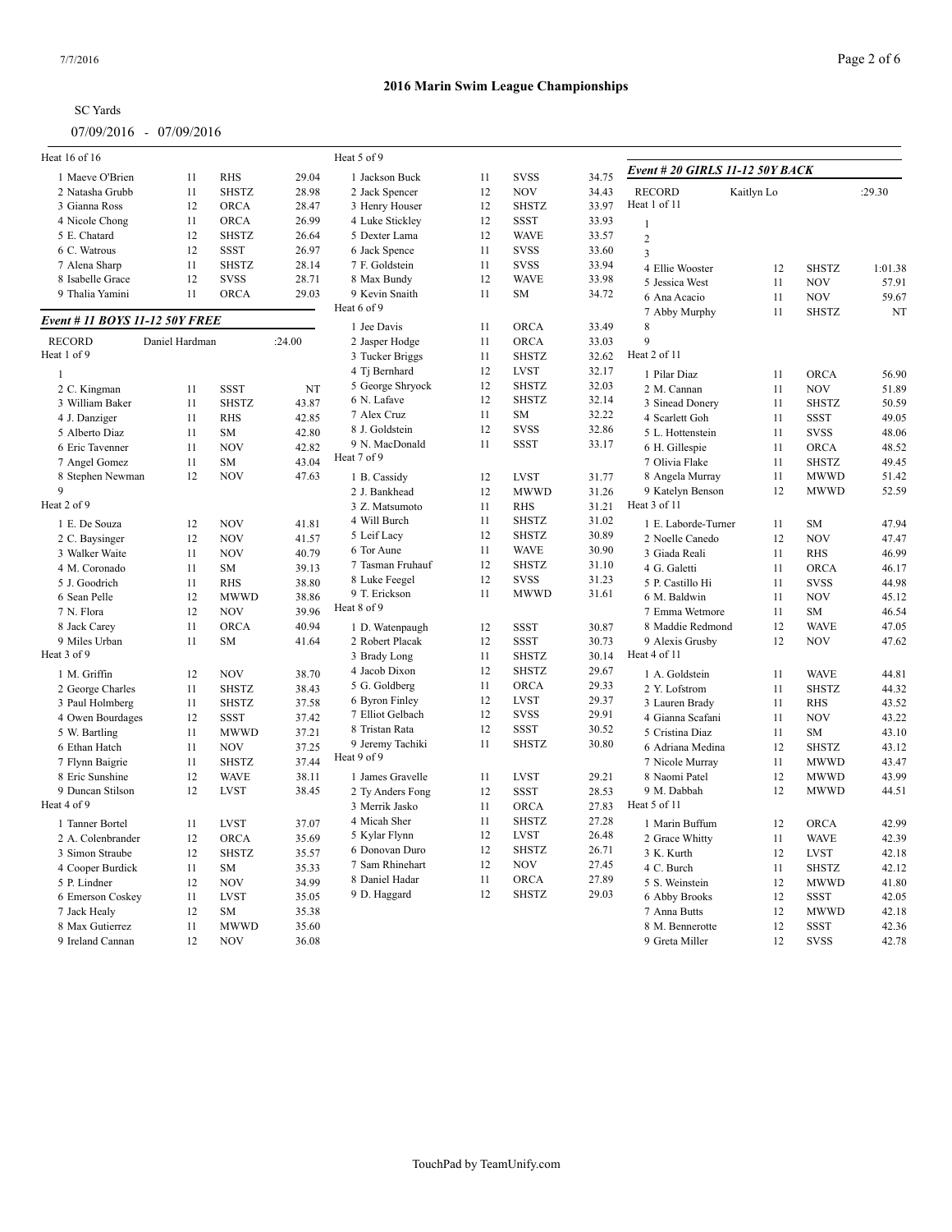| <b>SC</b> Yards |
|-----------------|
|-----------------|

| Heat 16 of 16                  |                |              |        | Heat 5 of 9      |    |              |       |                                 |            |              |         |
|--------------------------------|----------------|--------------|--------|------------------|----|--------------|-------|---------------------------------|------------|--------------|---------|
| 1 Maeve O'Brien                | 11             | <b>RHS</b>   | 29.04  | 1 Jackson Buck   | 11 | <b>SVSS</b>  | 34.75 | Event # 20 GIRLS 11-12 50Y BACK |            |              |         |
| 2 Natasha Grubb                | 11             | <b>SHSTZ</b> | 28.98  | 2 Jack Spencer   | 12 | <b>NOV</b>   | 34.43 | <b>RECORD</b>                   | Kaitlyn Lo |              | :29.30  |
| 3 Gianna Ross                  | 12             | <b>ORCA</b>  | 28.47  | 3 Henry Houser   | 12 | <b>SHSTZ</b> | 33.97 | Heat 1 of 11                    |            |              |         |
| 4 Nicole Chong                 | 11             | <b>ORCA</b>  | 26.99  | 4 Luke Stickley  | 12 | <b>SSST</b>  | 33.93 | $\mathbf{1}$                    |            |              |         |
| 5 E. Chatard                   | 12             | <b>SHSTZ</b> | 26.64  | 5 Dexter Lama    | 12 | <b>WAVE</b>  | 33.57 | $\overline{2}$                  |            |              |         |
| 6 C. Watrous                   | 12             | <b>SSST</b>  | 26.97  | 6 Jack Spence    | 11 | <b>SVSS</b>  | 33.60 | $\overline{3}$                  |            |              |         |
| 7 Alena Sharp                  | 11             | <b>SHSTZ</b> | 28.14  | 7 F. Goldstein   | 11 | <b>SVSS</b>  | 33.94 | 4 Ellie Wooster                 | 12         | <b>SHSTZ</b> | 1:01.38 |
| 8 Isabelle Grace               | 12             | <b>SVSS</b>  | 28.71  | 8 Max Bundy      | 12 | <b>WAVE</b>  | 33.98 | 5 Jessica West                  | 11         | <b>NOV</b>   | 57.91   |
| 9 Thalia Yamini                | 11             | <b>ORCA</b>  | 29.03  | 9 Kevin Snaith   | 11 | SM           | 34.72 | 6 Ana Acacio                    | 11         | <b>NOV</b>   | 59.67   |
| Event # 11 BOYS 11-12 50Y FREE |                |              |        | Heat 6 of 9      |    |              |       | 7 Abby Murphy                   | 11         | <b>SHSTZ</b> | NT      |
|                                |                |              |        | 1 Jee Davis      | 11 | <b>ORCA</b>  | 33.49 | 8                               |            |              |         |
| <b>RECORD</b>                  | Daniel Hardman |              | :24.00 | 2 Jasper Hodge   | 11 | <b>ORCA</b>  | 33.03 | $\mathbf Q$                     |            |              |         |
| Heat 1 of 9                    |                |              |        | 3 Tucker Briggs  | 11 | <b>SHSTZ</b> | 32.62 | Heat 2 of 11                    |            |              |         |
| $\mathbf{1}$                   |                |              |        | 4 Tj Bernhard    | 12 | <b>LVST</b>  | 32.17 | 1 Pilar Diaz                    | 11         | ORCA         | 56.90   |
| 2 C. Kingman                   | 11             | <b>SSST</b>  | NT     | 5 George Shryock | 12 | <b>SHSTZ</b> | 32.03 | 2 M. Cannan                     | 11         | <b>NOV</b>   | 51.89   |
| 3 William Baker                | 11             | <b>SHSTZ</b> | 43.87  | 6 N. Lafave      | 12 | <b>SHSTZ</b> | 32.14 | 3 Sinead Donery                 | 11         | <b>SHSTZ</b> | 50.59   |
| 4 J. Danziger                  | 11             | <b>RHS</b>   | 42.85  | 7 Alex Cruz      | 11 | SM           | 32.22 | 4 Scarlett Goh                  | 11         | <b>SSST</b>  | 49.05   |
| 5 Alberto Diaz                 | 11             | <b>SM</b>    | 42.80  | 8 J. Goldstein   | 12 | <b>SVSS</b>  | 32.86 | 5 L. Hottenstein                | 11         | <b>SVSS</b>  | 48.06   |
| 6 Eric Tavenner                | 11             | <b>NOV</b>   | 42.82  | 9 N. MacDonald   | 11 | <b>SSST</b>  | 33.17 | 6 H. Gillespie                  | 11         | ORCA         | 48.52   |
| 7 Angel Gomez                  | 11             | <b>SM</b>    | 43.04  | Heat 7 of 9      |    |              |       | 7 Olivia Flake                  | 11         | <b>SHSTZ</b> | 49.45   |
| 8 Stephen Newman               | 12             | <b>NOV</b>   | 47.63  | 1 B. Cassidy     | 12 | <b>LVST</b>  | 31.77 | 8 Angela Murray                 | 11         | <b>MWWD</b>  | 51.42   |
| 9                              |                |              |        | 2 J. Bankhead    | 12 | <b>MWWD</b>  | 31.26 | 9 Katelyn Benson                | 12         | <b>MWWD</b>  | 52.59   |
| Heat 2 of 9                    |                |              |        | 3 Z. Matsumoto   | 11 | <b>RHS</b>   | 31.21 | Heat 3 of 11                    |            |              |         |
| 1 E. De Souza                  | 12             | <b>NOV</b>   | 41.81  | 4 Will Burch     | 11 | <b>SHSTZ</b> | 31.02 | 1 E. Laborde-Turner             | 11         | <b>SM</b>    | 47.94   |
| 2 C. Baysinger                 | 12             | <b>NOV</b>   | 41.57  | 5 Leif Lacy      | 12 | <b>SHSTZ</b> | 30.89 | 2 Noelle Canedo                 | 12         | <b>NOV</b>   | 47.47   |
| 3 Walker Waite                 | 11             | <b>NOV</b>   | 40.79  | 6 Tor Aune       | 11 | <b>WAVE</b>  | 30.90 | 3 Giada Reali                   | 11         | <b>RHS</b>   | 46.99   |
| 4 M. Coronado                  | 11             | <b>SM</b>    | 39.13  | 7 Tasman Fruhauf | 12 | <b>SHSTZ</b> | 31.10 | 4 G. Galetti                    | 11         | <b>ORCA</b>  | 46.17   |
| 5 J. Goodrich                  | 11             | <b>RHS</b>   | 38.80  | 8 Luke Feegel    | 12 | <b>SVSS</b>  | 31.23 | 5 P. Castillo Hi                | 11         | <b>SVSS</b>  | 44.98   |
| 6 Sean Pelle                   | 12             | MWWD         | 38.86  | 9 T. Erickson    | 11 | <b>MWWD</b>  | 31.61 | 6 M. Baldwin                    | 11         | <b>NOV</b>   | 45.12   |
| 7 N. Flora                     | 12             | <b>NOV</b>   | 39.96  | Heat 8 of 9      |    |              |       | 7 Emma Wetmore                  | 11         | <b>SM</b>    | 46.54   |
| 8 Jack Carey                   | 11             | ORCA         | 40.94  |                  | 12 | <b>SSST</b>  | 30.87 | 8 Maddie Redmond                | 12         | <b>WAVE</b>  | 47.05   |
|                                |                |              |        | 1 D. Watenpaugh  |    |              |       |                                 |            |              |         |
| 9 Miles Urban<br>Heat 3 of 9   | 11             | <b>SM</b>    | 41.64  | 2 Robert Placak  | 12 | <b>SSST</b>  | 30.73 | 9 Alexis Grusby<br>Heat 4 of 11 | 12         | <b>NOV</b>   | 47.62   |
|                                |                |              |        | 3 Brady Long     | 11 | <b>SHSTZ</b> | 30.14 |                                 |            |              |         |
| 1 M. Griffin                   | 12             | <b>NOV</b>   | 38.70  | 4 Jacob Dixon    | 12 | <b>SHSTZ</b> | 29.67 | 1 A. Goldstein                  | 11         | <b>WAVE</b>  | 44.81   |
| 2 George Charles               | 11             | <b>SHSTZ</b> | 38.43  | 5 G. Goldberg    | 11 | <b>ORCA</b>  | 29.33 | 2 Y. Lofstrom                   | 11         | <b>SHSTZ</b> | 44.32   |
| 3 Paul Holmberg                | 11             | <b>SHSTZ</b> | 37.58  | 6 Byron Finley   | 12 | <b>LVST</b>  | 29.37 | 3 Lauren Brady                  | 11         | <b>RHS</b>   | 43.52   |
| 4 Owen Bourdages               | 12             | <b>SSST</b>  | 37.42  | 7 Elliot Gelbach | 12 | <b>SVSS</b>  | 29.91 | 4 Gianna Scafani                | 11         | <b>NOV</b>   | 43.22   |
| 5 W. Bartling                  | 11             | <b>MWWD</b>  | 37.21  | 8 Tristan Rata   | 12 | <b>SSST</b>  | 30.52 | 5 Cristina Diaz                 | 11         | <b>SM</b>    | 43.10   |
| 6 Ethan Hatch                  | 11             | <b>NOV</b>   | 37.25  | 9 Jeremy Tachiki | 11 | <b>SHSTZ</b> | 30.80 | 6 Adriana Medina                | 12         | <b>SHSTZ</b> | 43.12   |
| 7 Flynn Baigrie                | 11             | <b>SHSTZ</b> | 37.44  | Heat 9 of 9      |    |              |       | 7 Nicole Murray                 | 11         | <b>MWWD</b>  | 43.47   |
| 8 Eric Sunshine                | 12             | <b>WAVE</b>  | 38.11  | 1 James Gravelle | 11 | <b>LVST</b>  | 29.21 | 8 Naomi Patel                   | 12         | <b>MWWD</b>  | 43.99   |
| 9 Duncan Stilson               | 12             | <b>LVST</b>  | 38.45  | 2 Ty Anders Fong | 12 | <b>SSST</b>  | 28.53 | 9 M. Dabbah                     | 12         | <b>MWWD</b>  | 44.51   |
| Heat 4 of 9                    |                |              |        | 3 Merrik Jasko   | 11 | <b>ORCA</b>  | 27.83 | Heat 5 of 11                    |            |              |         |
| 1 Tanner Bortel                | 11             | <b>LVST</b>  | 37.07  | 4 Micah Sher     | 11 | <b>SHSTZ</b> | 27.28 | 1 Marin Buffum                  | 12         | ORCA         | 42.99   |
| 2 A. Colenbrander              | 12             | <b>ORCA</b>  | 35.69  | 5 Kylar Flynn    | 12 | <b>LVST</b>  | 26.48 | 2 Grace Whitty                  | 11         | <b>WAVE</b>  | 42.39   |
| 3 Simon Straube                | 12             | <b>SHSTZ</b> | 35.57  | 6 Donovan Duro   | 12 | <b>SHSTZ</b> | 26.71 | 3 K. Kurth                      | 12         | <b>LVST</b>  | 42.18   |
| 4 Cooper Burdick               | 11             | <b>SM</b>    | 35.33  | 7 Sam Rhinehart  | 12 | <b>NOV</b>   | 27.45 | 4 C. Burch                      | 11         | <b>SHSTZ</b> | 42.12   |
| 5 P. Lindner                   | 12             | <b>NOV</b>   | 34.99  | 8 Daniel Hadar   | 11 | <b>ORCA</b>  | 27.89 | 5 S. Weinstein                  | 12         | <b>MWWD</b>  | 41.80   |
| 6 Emerson Coskey               | 11             | <b>LVST</b>  | 35.05  | 9 D. Haggard     | 12 | <b>SHSTZ</b> | 29.03 | 6 Abby Brooks                   | 12         | <b>SSST</b>  | 42.05   |
| 7 Jack Healy                   | 12             | <b>SM</b>    | 35.38  |                  |    |              |       | 7 Anna Butts                    | 12         | <b>MWWD</b>  | 42.18   |
| 8 Max Gutierrez                | 11             | <b>MWWD</b>  | 35.60  |                  |    |              |       | 8 M. Bennerotte                 | 12         | <b>SSST</b>  | 42.36   |
| 9 Ireland Cannan               | 12             | <b>NOV</b>   | 36.08  |                  |    |              |       | 9 Greta Miller                  | 12         | <b>SVSS</b>  | 42.78   |
|                                |                |              |        |                  |    |              |       |                                 |            |              |         |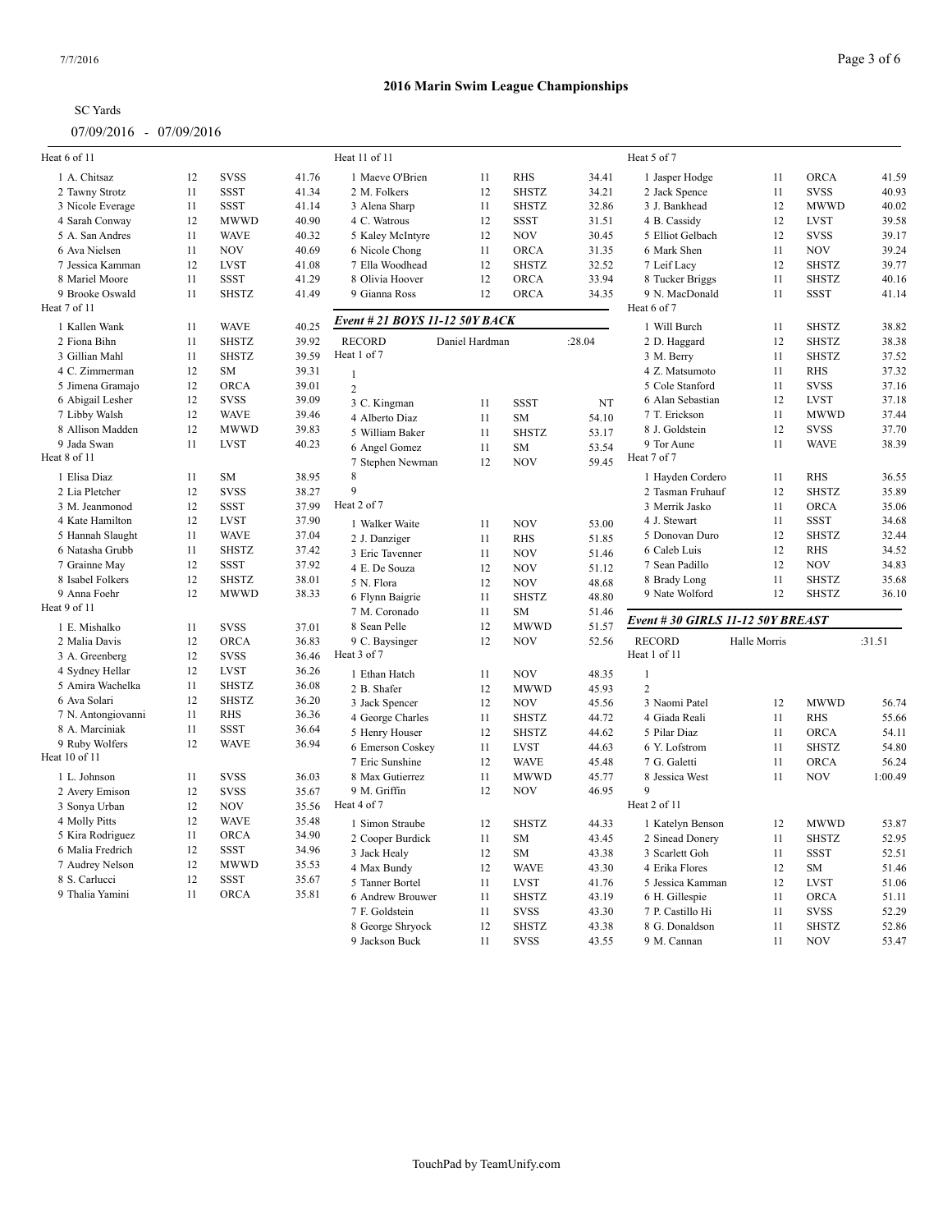# SC Yards

07/09/2016 - 07/09/2016

| Heat 6 of 11                     |    |              |                | Heat 11 of 11                     |                |                         |                | Heat 5 of 7                       |              |              |         |
|----------------------------------|----|--------------|----------------|-----------------------------------|----------------|-------------------------|----------------|-----------------------------------|--------------|--------------|---------|
| 1 A. Chitsaz                     | 12 | <b>SVSS</b>  | 41.76          | 1 Maeve O'Brien                   | 11             | <b>RHS</b>              | 34.41          | 1 Jasper Hodge                    | 11           | ORCA         | 41.59   |
| 2 Tawny Strotz                   | 11 | <b>SSST</b>  | 41.34          | 2 M. Folkers                      | 12             | <b>SHSTZ</b>            | 34.21          | 2 Jack Spence                     | 11           | <b>SVSS</b>  | 40.93   |
| 3 Nicole Everage                 | 11 | <b>SSST</b>  | 41.14          | 3 Alena Sharp                     | 11             | <b>SHSTZ</b>            | 32.86          | 3 J. Bankhead                     | 12           | <b>MWWD</b>  | 40.02   |
| 4 Sarah Conway                   | 12 | <b>MWWD</b>  | 40.90          | 4 C. Watrous                      | 12             | <b>SSST</b>             | 31.51          | 4 B. Cassidy                      | 12           | <b>LVST</b>  | 39.58   |
| 5 A. San Andres                  | 11 | <b>WAVE</b>  | 40.32          | 5 Kaley McIntyre                  | 12             | <b>NOV</b>              | 30.45          | 5 Elliot Gelbach                  | 12           | <b>SVSS</b>  | 39.17   |
| 6 Ava Nielsen                    | 11 | <b>NOV</b>   | 40.69          | 6 Nicole Chong                    | 11             | <b>ORCA</b>             | 31.35          | 6 Mark Shen                       | 11           | <b>NOV</b>   | 39.24   |
| 7 Jessica Kamman                 | 12 | <b>LVST</b>  | 41.08          | 7 Ella Woodhead                   | 12             | <b>SHSTZ</b>            | 32.52          | 7 Leif Lacy                       | 12           | <b>SHSTZ</b> | 39.77   |
| 8 Mariel Moore                   | 11 | <b>SSST</b>  | 41.29          | 8 Olivia Hoover                   | 12             | <b>ORCA</b>             | 33.94          | 8 Tucker Briggs                   | 11           | <b>SHSTZ</b> | 40.16   |
| 9 Brooke Oswald                  | 11 | <b>SHSTZ</b> | 41.49          | 9 Gianna Ross                     | 12             | <b>ORCA</b>             | 34.35          | 9 N. MacDonald                    | 11           | <b>SSST</b>  | 41.14   |
| Heat 7 of 11                     |    |              |                |                                   |                |                         |                | Heat 6 of 7                       |              |              |         |
| 1 Kallen Wank                    | 11 | <b>WAVE</b>  | 40.25          | Event # 21 BOYS 11-12 50Y BACK    |                |                         |                | 1 Will Burch                      | 11           | <b>SHSTZ</b> | 38.82   |
| 2 Fiona Bihn                     | 11 | <b>SHSTZ</b> | 39.92          | <b>RECORD</b>                     | Daniel Hardman |                         | :28.04         | 2 D. Haggard                      | 12           | <b>SHSTZ</b> | 38.38   |
| 3 Gillian Mahl                   | 11 | <b>SHSTZ</b> | 39.59          | Heat 1 of 7                       |                |                         |                | 3 M. Berry                        | 11           | <b>SHSTZ</b> | 37.52   |
| 4 C. Zimmerman                   | 12 | <b>SM</b>    | 39.31          |                                   |                |                         |                | 4 Z. Matsumoto                    | 11           | <b>RHS</b>   | 37.32   |
| 5 Jimena Gramajo                 | 12 | <b>ORCA</b>  | 39.01          | $\mathbf{1}$                      |                |                         |                | 5 Cole Stanford                   | 11           | <b>SVSS</b>  | 37.16   |
| 6 Abigail Lesher                 | 12 | <b>SVSS</b>  | 39.09          | $\overline{2}$                    |                |                         |                | 6 Alan Sebastian                  | 12           | <b>LVST</b>  | 37.18   |
| 7 Libby Walsh                    | 12 | <b>WAVE</b>  | 39.46          | 3 C. Kingman                      | 11             | <b>SSST</b>             | NT             | 7 T. Erickson                     | 11           | <b>MWWD</b>  | 37.44   |
| 8 Allison Madden                 | 12 | <b>MWWD</b>  | 39.83          | 4 Alberto Diaz                    | 11             | <b>SM</b>               | 54.10          | 8 J. Goldstein                    | 12           | <b>SVSS</b>  | 37.70   |
| 9 Jada Swan                      | 11 | <b>LVST</b>  | 40.23          | 5 William Baker                   | 11             | <b>SHSTZ</b>            | 53.17          | 9 Tor Aune                        | 11           | <b>WAVE</b>  | 38.39   |
| Heat 8 of 11                     |    |              |                | 6 Angel Gomez<br>7 Stephen Newman | 11<br>12       | <b>SM</b><br><b>NOV</b> | 53.54<br>59.45 | Heat 7 of 7                       |              |              |         |
| 1 Elisa Diaz                     | 11 | SM           | 38.95          | 8                                 |                |                         |                | 1 Hayden Cordero                  | 11           | <b>RHS</b>   | 36.55   |
| 2 Lia Pletcher                   | 12 | <b>SVSS</b>  | 38.27          | 9                                 |                |                         |                | 2 Tasman Fruhauf                  | 12           | <b>SHSTZ</b> | 35.89   |
| 3 M. Jeanmonod                   | 12 | <b>SSST</b>  | 37.99          | Heat 2 of 7                       |                |                         |                | 3 Merrik Jasko                    | 11           | ORCA         | 35.06   |
| 4 Kate Hamilton                  | 12 | <b>LVST</b>  | 37.90          | 1 Walker Waite                    | 11             | <b>NOV</b>              | 53.00          | 4 J. Stewart                      | 11           | <b>SSST</b>  | 34.68   |
| 5 Hannah Slaught                 | 11 | <b>WAVE</b>  | 37.04          | 2 J. Danziger                     | 11             | <b>RHS</b>              | 51.85          | 5 Donovan Duro                    | 12           | <b>SHSTZ</b> | 32.44   |
| 6 Natasha Grubb                  | 11 | <b>SHSTZ</b> | 37.42          | 3 Eric Tavenner                   | 11             | <b>NOV</b>              | 51.46          | 6 Caleb Luis                      | 12           | <b>RHS</b>   | 34.52   |
| 7 Grainne May                    | 12 | <b>SSST</b>  | 37.92          | 4 E. De Souza                     | 12             | <b>NOV</b>              | 51.12          | 7 Sean Padillo                    | 12           | <b>NOV</b>   | 34.83   |
| 8 Isabel Folkers                 | 12 | <b>SHSTZ</b> | 38.01          | 5 N. Flora                        | 12             | <b>NOV</b>              | 48.68          | 8 Brady Long                      | 11           | <b>SHSTZ</b> | 35.68   |
| 9 Anna Foehr                     | 12 | <b>MWWD</b>  | 38.33          | 6 Flynn Baigrie                   | 11             | <b>SHSTZ</b>            | 48.80          | 9 Nate Wolford                    | 12           | <b>SHSTZ</b> | 36.10   |
| Heat 9 of 11                     |    |              |                | 7 M. Coronado                     | 11             | <b>SM</b>               | 51.46          | Event # 30 GIRLS 11-12 50Y BREAST |              |              |         |
| 1 E. Mishalko                    | 11 | <b>SVSS</b>  | 37.01          | 8 Sean Pelle                      | 12             | <b>MWWD</b>             | 51.57          |                                   |              |              |         |
| 2 Malia Davis                    | 12 | ORCA         | 36.83          | 9 C. Baysinger                    | 12             | <b>NOV</b>              | 52.56          | <b>RECORD</b>                     | Halle Morris |              | :31.51  |
| 3 A. Greenberg                   | 12 | <b>SVSS</b>  | 36.46          | Heat 3 of 7                       |                |                         |                | Heat 1 of 11                      |              |              |         |
| 4 Sydney Hellar                  | 12 | <b>LVST</b>  | 36.26          | 1 Ethan Hatch                     | 11             | <b>NOV</b>              | 48.35          | $\mathbf{1}$                      |              |              |         |
| 5 Amira Wachelka                 | 11 | <b>SHSTZ</b> | 36.08          | 2 B. Shafer                       | 12             | <b>MWWD</b>             | 45.93          | $\overline{2}$                    |              |              |         |
| 6 Ava Solari                     | 12 | <b>SHSTZ</b> | 36.20          | 3 Jack Spencer                    | 12             | <b>NOV</b>              | 45.56          | 3 Naomi Patel                     | 12           | <b>MWWD</b>  | 56.74   |
| 7 N. Antongiovanni               | 11 | <b>RHS</b>   | 36.36          | 4 George Charles                  | 11             | <b>SHSTZ</b>            | 44.72          | 4 Giada Reali                     | 11           | <b>RHS</b>   | 55.66   |
| 8 A. Marciniak                   | 11 | <b>SSST</b>  | 36.64          | 5 Henry Houser                    | 12             | <b>SHSTZ</b>            | 44.62          | 5 Pilar Diaz                      | 11           | <b>ORCA</b>  | 54.11   |
| 9 Ruby Wolfers                   | 12 | <b>WAVE</b>  | 36.94          | 6 Emerson Coskey                  | 11             | <b>LVST</b>             | 44.63          | 6 Y. Lofstrom                     | 11           | <b>SHSTZ</b> | 54.80   |
| Heat 10 of 11                    |    |              |                | 7 Eric Sunshine                   | 12             | <b>WAVE</b>             | 45.48          | 7 G. Galetti                      | 11           | <b>ORCA</b>  | 56.24   |
| 1 L. Johnson                     | 11 | <b>SVSS</b>  | 36.03          | 8 Max Gutierrez                   | 11             | <b>MWWD</b>             | 45.77          | 8 Jessica West                    | 11           | <b>NOV</b>   | 1:00.49 |
| 2 Avery Emison                   | 12 | <b>SVSS</b>  | 35.67          | 9 M. Griffin                      | 12             | <b>NOV</b>              | 46.95          | 9                                 |              |              |         |
| 3 Sonya Urban                    | 12 | <b>NOV</b>   | 35.56          | Heat 4 of 7                       |                |                         |                | Heat 2 of 11                      |              |              |         |
| 4 Molly Pitts                    | 12 | <b>WAVE</b>  | 35.48          |                                   |                |                         |                |                                   |              |              |         |
| 5 Kira Rodriguez                 | 11 | ORCA         | 34.90          | 1 Simon Straube                   | 12             | <b>SHSTZ</b>            | 44.33          | 1 Katelyn Benson                  | 12           | <b>MWWD</b>  | 53.87   |
| 6 Malia Fredrich                 | 12 | <b>SSST</b>  | 34.96          | 2 Cooper Burdick                  | 11             | <b>SM</b>               | 43.45          | 2 Sinead Donery                   | 11           | <b>SHSTZ</b> | 52.95   |
|                                  | 12 | <b>MWWD</b>  |                | 3 Jack Healy                      | 12             | <b>SM</b>               | 43.38          | 3 Scarlett Goh                    | 11           | <b>SSST</b>  | 52.51   |
| 7 Audrey Nelson<br>8 S. Carlucci | 12 | <b>SSST</b>  | 35.53<br>35.67 | 4 Max Bundy                       | 12             | <b>WAVE</b>             | 43.30          | 4 Erika Flores                    | 12           | SM           | 51.46   |
|                                  |    |              |                | 5 Tanner Bortel                   | 11             | <b>LVST</b>             | 41.76          | 5 Jessica Kamman                  | 12           | <b>LVST</b>  | 51.06   |
| 9 Thalia Yamini                  | 11 | ORCA         | 35.81          | 6 Andrew Brouwer                  | 11             | <b>SHSTZ</b>            | 43.19          | 6 H. Gillespie                    | 11           | ORCA         | 51.11   |
|                                  |    |              |                | 7 F. Goldstein                    | 11             | <b>SVSS</b>             | 43.30          | 7 P. Castillo Hi                  | 11           | <b>SVSS</b>  | 52.29   |
|                                  |    |              |                | 8 George Shryock                  | 12             | <b>SHSTZ</b>            | 43.38          | 8 G. Donaldson                    | 11           | <b>SHSTZ</b> | 52.86   |
|                                  |    |              |                | 9 Jackson Buck                    | 11             | <b>SVSS</b>             | 43.55          | 9 M. Cannan                       | 11           | <b>NOV</b>   | 53.47   |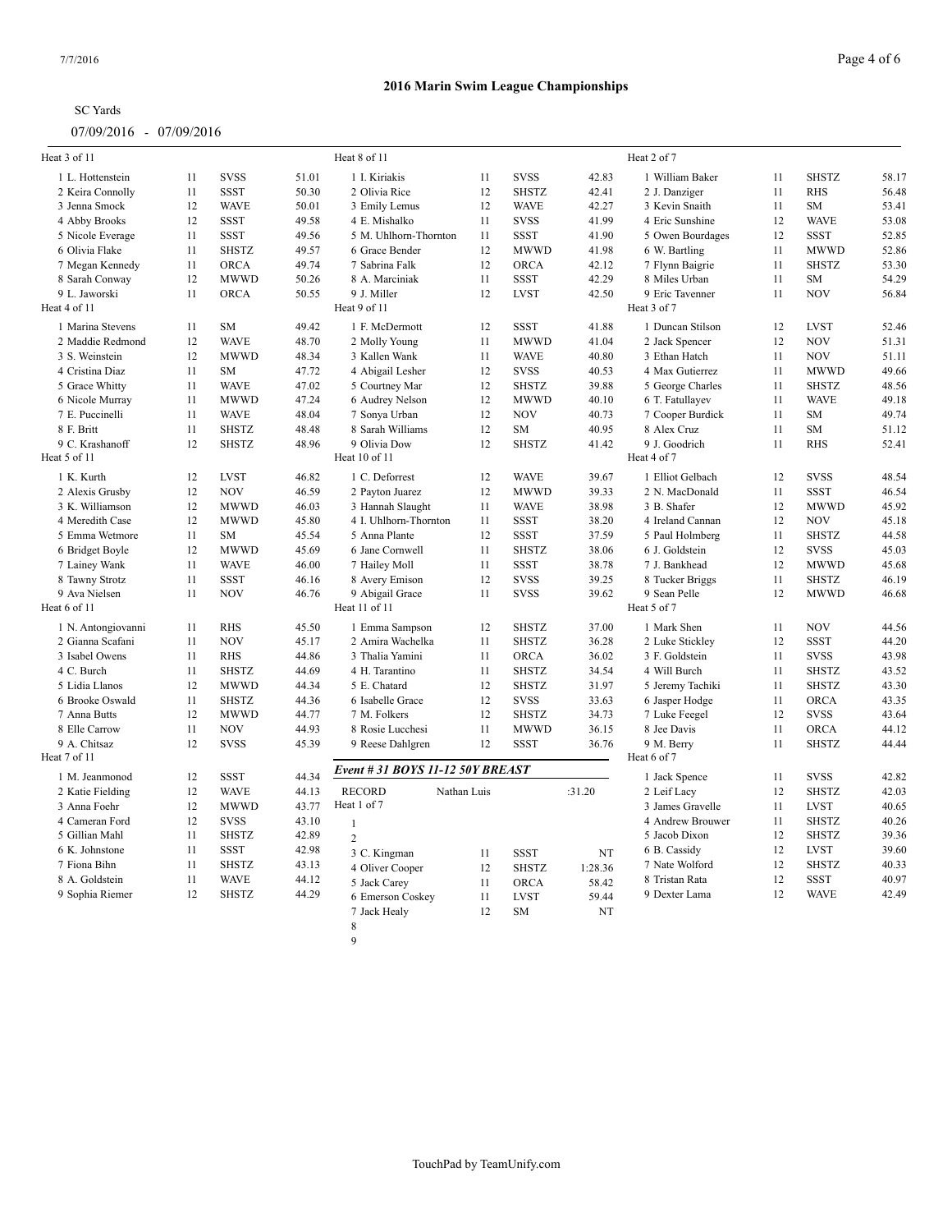### **2016 Marin Swim League Championships**

| Heat 3 of 11                  |          |                             |                | Heat 8 of 11                     |             |                              |                | Heat 2 of 7                  |          |                             |                |
|-------------------------------|----------|-----------------------------|----------------|----------------------------------|-------------|------------------------------|----------------|------------------------------|----------|-----------------------------|----------------|
| 1 L. Hottenstein              | 11       | <b>SVSS</b>                 | 51.01          | 1 I. Kiriakis                    | 11          | <b>SVSS</b>                  | 42.83          | 1 William Baker              | 11       | <b>SHSTZ</b>                | 58.17          |
| 2 Keira Connolly              | 11       | SSST                        | 50.30          | 2 Olivia Rice                    | 12          | <b>SHSTZ</b>                 | 42.41          | 2 J. Danziger                | 11       | RHS                         | 56.48          |
| 3 Jenna Smock                 | 12       | <b>WAVE</b>                 | 50.01          | 3 Emily Lemus                    | 12          | <b>WAVE</b>                  | 42.27          | 3 Kevin Snaith               | 11       | <b>SM</b>                   | 53.41          |
| 4 Abby Brooks                 | 12       | <b>SSST</b>                 | 49.58          | 4 E. Mishalko                    | 11          | <b>SVSS</b>                  | 41.99          | 4 Eric Sunshine              | 12       | <b>WAVE</b>                 | 53.08          |
| 5 Nicole Everage              | 11       | <b>SSST</b>                 | 49.56          | 5 M. Uhlhorn-Thornton            | 11          | <b>SSST</b>                  | 41.90          | 5 Owen Bourdages             | 12       | <b>SSST</b>                 | 52.85          |
| 6 Olivia Flake                | 11       | <b>SHSTZ</b>                | 49.57          | 6 Grace Bender                   | 12          | <b>MWWD</b>                  | 41.98          | 6 W. Bartling                | 11       | <b>MWWD</b>                 | 52.86          |
| 7 Megan Kennedy               | 11       | ORCA                        | 49.74          | 7 Sabrina Falk                   | 12          | <b>ORCA</b>                  | 42.12          | 7 Flynn Baigrie              | 11       | <b>SHSTZ</b>                | 53.30          |
| 8 Sarah Conway                | 12       | <b>MWWD</b>                 | 50.26          | 8 A. Marciniak                   | 11          | <b>SSST</b>                  | 42.29          | 8 Miles Urban                | 11       | <b>SM</b>                   | 54.29          |
| 9 L. Jaworski                 | 11       | ORCA                        | 50.55          | 9 J. Miller                      | 12          | <b>LVST</b>                  | 42.50          | 9 Eric Tavenner              | 11       | <b>NOV</b>                  | 56.84          |
| Heat 4 of 11                  |          |                             |                | Heat 9 of 11                     |             |                              |                | Heat 3 of 7                  |          |                             |                |
| 1 Marina Stevens              | 11       | SM                          | 49.42          | 1 F. McDermott                   | 12          | <b>SSST</b>                  | 41.88          | 1 Duncan Stilson             | 12       | <b>LVST</b>                 | 52.46          |
| 2 Maddie Redmond              | 12       | <b>WAVE</b>                 | 48.70          | 2 Molly Young                    | 11          | <b>MWWD</b>                  | 41.04          | 2 Jack Spencer               | 12       | <b>NOV</b>                  | 51.31          |
| 3 S. Weinstein                | 12       | <b>MWWD</b>                 | 48.34          | 3 Kallen Wank                    | 11          | <b>WAVE</b>                  | 40.80          | 3 Ethan Hatch                | 11       | <b>NOV</b>                  | 51.11          |
| 4 Cristina Diaz               | 11       | <b>SM</b>                   | 47.72          | 4 Abigail Lesher                 | 12          | <b>SVSS</b>                  | 40.53          | 4 Max Gutierrez              | 11       | <b>MWWD</b>                 | 49.66          |
| 5 Grace Whitty                | 11       | <b>WAVE</b>                 | 47.02          | 5 Courtney Mar                   | 12          | <b>SHSTZ</b>                 | 39.88          | 5 George Charles             | 11       | <b>SHSTZ</b>                | 48.56          |
| 6 Nicole Murray               | 11       | <b>MWWD</b>                 | 47.24          | 6 Audrey Nelson                  | 12          | <b>MWWD</b>                  | 40.10          | 6 T. Fatullayev              | 11       | <b>WAVE</b>                 | 49.18          |
| 7 E. Puccinelli               | 11       | <b>WAVE</b>                 | 48.04          | 7 Sonya Urban                    | 12          | <b>NOV</b>                   | 40.73          | 7 Cooper Burdick             | 11       | <b>SM</b>                   | 49.74          |
| 8 F. Britt                    | 11       | <b>SHSTZ</b>                | 48.48          | 8 Sarah Williams                 | 12          | SM                           | 40.95          | 8 Alex Cruz                  | 11       | <b>SM</b>                   | 51.12          |
| 9 C. Krashanoff               | 12       | <b>SHSTZ</b>                | 48.96          | 9 Olivia Dow                     | 12          | <b>SHSTZ</b>                 | 41.42          | 9 J. Goodrich                | 11       | <b>RHS</b>                  | 52.41          |
| Heat 5 of 11                  |          |                             |                | Heat 10 of 11                    |             |                              |                | Heat 4 of 7                  |          |                             |                |
| 1 K. Kurth                    | 12       | <b>LVST</b>                 | 46.82          | 1 C. Deforrest                   | 12          | <b>WAVE</b>                  | 39.67          | 1 Elliot Gelbach             | 12       | <b>SVSS</b>                 | 48.54          |
| 2 Alexis Grusby               | 12       | <b>NOV</b>                  | 46.59          | 2 Payton Juarez                  | 12          | <b>MWWD</b>                  | 39.33          | 2 N. MacDonald               | 11       | <b>SSST</b>                 | 46.54          |
| 3 K. Williamson               | 12       | <b>MWWD</b>                 | 46.03          | 3 Hannah Slaught                 | 11          | <b>WAVE</b>                  | 38.98          | 3 B. Shafer                  | 12       | <b>MWWD</b>                 | 45.92          |
| 4 Meredith Case               | 12       | <b>MWWD</b>                 | 45.80          | 4 I. Uhlhorn-Thornton            | 11          | <b>SSST</b>                  | 38.20          | 4 Ireland Cannan             | 12       | <b>NOV</b>                  | 45.18          |
| 5 Emma Wetmore                | 11       | <b>SM</b>                   | 45.54          | 5 Anna Plante                    | 12          | <b>SSST</b>                  | 37.59          | 5 Paul Holmberg              | 11       | <b>SHSTZ</b>                | 44.58          |
| 6 Bridget Boyle               | 12       | <b>MWWD</b>                 | 45.69          | 6 Jane Cornwell                  | 11          | <b>SHSTZ</b>                 | 38.06          | 6 J. Goldstein               | 12       | <b>SVSS</b>                 | 45.03          |
| 7 Lainey Wank                 | 11       | <b>WAVE</b>                 | 46.00          | 7 Hailey Moll                    | 11          | <b>SSST</b>                  | 38.78          | 7 J. Bankhead                | 12       | <b>MWWD</b>                 | 45.68          |
| 8 Tawny Strotz                | 11       | <b>SSST</b>                 | 46.16          | 8 Avery Emison                   | 12          | <b>SVSS</b>                  | 39.25          | 8 Tucker Briggs              | 11       | <b>SHSTZ</b>                | 46.19          |
| 9 Ava Nielsen                 | 11       | <b>NOV</b>                  | 46.76          | 9 Abigail Grace                  | 11          | <b>SVSS</b>                  | 39.62          | 9 Sean Pelle                 | 12       | <b>MWWD</b>                 | 46.68          |
| Heat 6 of 11                  |          |                             |                | Heat 11 of 11                    |             |                              |                | Heat 5 of 7                  |          |                             |                |
| 1 N. Antongiovanni            | 11       | <b>RHS</b>                  | 45.50          | 1 Emma Sampson                   | 12          | <b>SHSTZ</b>                 | 37.00          | 1 Mark Shen                  | 11       | <b>NOV</b>                  | 44.56          |
| 2 Gianna Scafani              | 11       | <b>NOV</b>                  | 45.17          | 2 Amira Wachelka                 | 11          | <b>SHSTZ</b>                 | 36.28          | 2 Luke Stickley              | 12       | <b>SSST</b>                 | 44.20          |
|                               |          |                             |                |                                  |             |                              |                |                              |          |                             |                |
| 3 Isabel Owens                | 11<br>11 | <b>RHS</b>                  | 44.86          | 3 Thalia Yamini                  | 11<br>11    | <b>ORCA</b>                  | 36.02          | 3 F. Goldstein               | 11       | <b>SVSS</b><br><b>SHSTZ</b> | 43.98<br>43.52 |
| 4 C. Burch                    | 12       | <b>SHSTZ</b>                | 44.69          | 4 H. Tarantino<br>5 E. Chatard   | 12          | <b>SHSTZ</b><br><b>SHSTZ</b> | 34.54          | 4 Will Burch                 | 11<br>11 |                             | 43.30          |
| 5 Lidia Llanos                | 11       | <b>MWWD</b><br><b>SHSTZ</b> | 44.34          | 6 Isabelle Grace                 |             | <b>SVSS</b>                  | 31.97          | 5 Jeremy Tachiki             |          | <b>SHSTZ</b><br><b>ORCA</b> | 43.35          |
| 6 Brooke Oswald               | 12       | <b>MWWD</b>                 | 44.36<br>44.77 |                                  | 12<br>12    | <b>SHSTZ</b>                 | 33.63<br>34.73 | 6 Jasper Hodge               | 11<br>12 | <b>SVSS</b>                 | 43.64          |
| 7 Anna Butts<br>8 Elle Carrow | 11       | <b>NOV</b>                  | 44.93          | 7 M. Folkers<br>8 Rosie Lucchesi | 11          | <b>MWWD</b>                  | 36.15          | 7 Luke Feegel<br>8 Jee Davis | 11       | ORCA                        | 44.12          |
| 9 A. Chitsaz                  | 12       | <b>SVSS</b>                 | 45.39          | 9 Reese Dahlgren                 | 12          | <b>SSST</b>                  | 36.76          | 9 M. Berry                   | 11       | <b>SHSTZ</b>                | 44.44          |
| Heat 7 of 11                  |          |                             |                |                                  |             |                              |                | Heat 6 of 7                  |          |                             |                |
| 1 M. Jeanmonod                | 12       | <b>SSST</b>                 | 44.34          | Event # 31 BOYS 11-12 50Y BREAST |             |                              |                | 1 Jack Spence                | 11       | <b>SVSS</b>                 | 42.82          |
| 2 Katie Fielding              | 12       | <b>WAVE</b>                 | 44.13          | <b>RECORD</b>                    | Nathan Luis |                              | :31.20         | 2 Leif Lacy                  | 12       | <b>SHSTZ</b>                | 42.03          |
| 3 Anna Foehr                  | 12       | <b>MWWD</b>                 | 43.77          | Heat 1 of 7                      |             |                              |                | 3 James Gravelle             | 11       | <b>LVST</b>                 | 40.65          |
| 4 Cameran Ford                | 12       | <b>SVSS</b>                 | 43.10          |                                  |             |                              |                | 4 Andrew Brouwer             | 11       | <b>SHSTZ</b>                | 40.26          |
| 5 Gillian Mahl                | 11       | <b>SHSTZ</b>                | 42.89          | $\mathbf{1}$                     |             |                              |                | 5 Jacob Dixon                | 12       | <b>SHSTZ</b>                | 39.36          |
| 6 K. Johnstone                | 11       | <b>SSST</b>                 | 42.98          | 2                                |             |                              |                |                              | 12       | <b>LVST</b>                 | 39.60          |
|                               | 11       |                             |                | 3 C. Kingman                     | 11          | <b>SSST</b>                  | NT             | 6 B. Cassidy                 |          |                             | 40.33          |
| 7 Fiona Bihn                  |          | <b>SHSTZ</b>                | 43.13          | 4 Oliver Cooper                  | 12          | <b>SHSTZ</b>                 | 1:28.36        | 7 Nate Wolford               | 12       | <b>SHSTZ</b>                |                |
| 8 A. Goldstein                | 11       | <b>WAVE</b>                 | 44.12          | 5 Jack Carey                     | 11          | <b>ORCA</b>                  | 58.42          | 8 Tristan Rata               | 12       | <b>SSST</b>                 | 40.97          |
| 9 Sophia Riemer               | 12       | <b>SHSTZ</b>                | 44.29          | 6 Emerson Coskey                 | 11          | <b>LVST</b>                  | 59.44          | 9 Dexter Lama                | 12       | <b>WAVE</b>                 | 42.49          |
|                               |          |                             |                | 7 Jack Healy                     | 12          | <b>SM</b>                    | NT             |                              |          |                             |                |
|                               |          |                             |                | $\,8\,$                          |             |                              |                |                              |          |                             |                |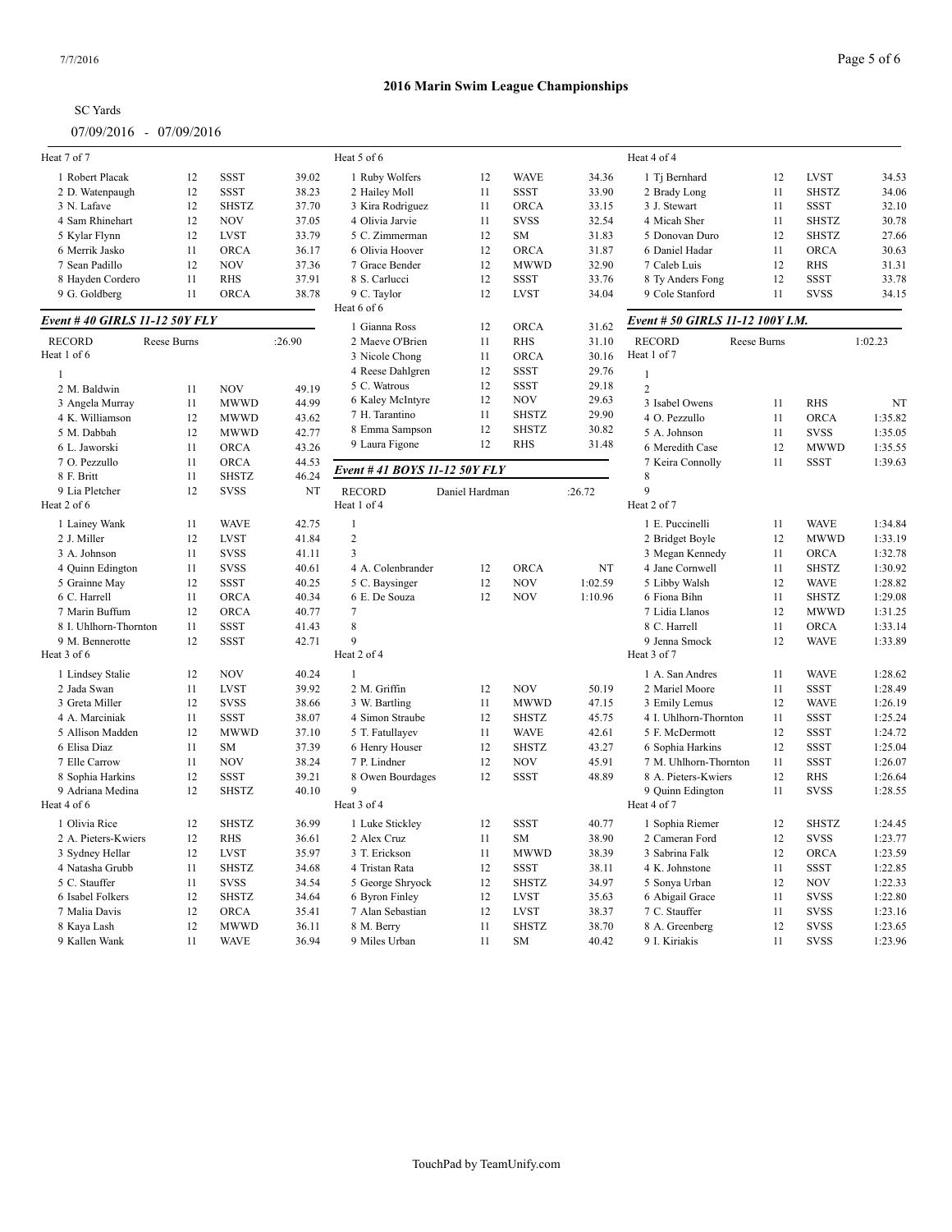| <b>SC</b> Yards |
|-----------------|
|-----------------|

| Heat 7 of 7                   |             |              |        | Heat 5 of 6                   |                |              |         | Heat 4 of 4                      |             |              |         |
|-------------------------------|-------------|--------------|--------|-------------------------------|----------------|--------------|---------|----------------------------------|-------------|--------------|---------|
| 1 Robert Placak               | 12          | <b>SSST</b>  | 39.02  | 1 Ruby Wolfers                | 12             | <b>WAVE</b>  | 34.36   | 1 Tj Bernhard                    | 12          | <b>LVST</b>  | 34.53   |
| 2 D. Watenpaugh               | 12          | <b>SSST</b>  | 38.23  | 2 Hailey Moll                 | 11             | <b>SSST</b>  | 33.90   | 2 Brady Long                     | 11          | <b>SHSTZ</b> | 34.06   |
| 3 N. Lafave                   | 12          | <b>SHSTZ</b> | 37.70  | 3 Kira Rodriguez              | 11             | <b>ORCA</b>  | 33.15   | 3 J. Stewart                     | 11          | <b>SSST</b>  | 32.10   |
| 4 Sam Rhinehart               | 12          | <b>NOV</b>   | 37.05  | 4 Olivia Jarvie               | 11             | <b>SVSS</b>  | 32.54   | 4 Micah Sher                     | 11          | <b>SHSTZ</b> | 30.78   |
| 5 Kylar Flynn                 | 12          | <b>LVST</b>  | 33.79  | 5 C. Zimmerman                | 12             | <b>SM</b>    | 31.83   | 5 Donovan Duro                   | 12          | <b>SHSTZ</b> | 27.66   |
| 6 Merrik Jasko                | 11          | ORCA         | 36.17  | 6 Olivia Hoover               | 12             | <b>ORCA</b>  | 31.87   | 6 Daniel Hadar                   | 11          | ORCA         | 30.63   |
| 7 Sean Padillo                | 12          | <b>NOV</b>   | 37.36  | 7 Grace Bender                | 12             | <b>MWWD</b>  | 32.90   | 7 Caleb Luis                     | 12          | <b>RHS</b>   | 31.31   |
| 8 Hayden Cordero              | 11          | <b>RHS</b>   | 37.91  | 8 S. Carlucci                 | 12             | <b>SSST</b>  | 33.76   | 8 Ty Anders Fong                 | 12          | <b>SSST</b>  | 33.78   |
| 9 G. Goldberg                 | 11          | ORCA         | 38.78  | 9 C. Taylor                   | 12             | <b>LVST</b>  | 34.04   | 9 Cole Stanford                  | 11          | <b>SVSS</b>  | 34.15   |
| Event #40 GIRLS 11-12 50Y FLY |             |              |        | Heat 6 of 6                   |                |              |         | Event # 50 GIRLS 11-12 100Y I.M. |             |              |         |
|                               |             |              |        | 1 Gianna Ross                 | 12             | ORCA         | 31.62   |                                  |             |              |         |
| <b>RECORD</b>                 | Reese Burns |              | :26.90 | 2 Maeve O'Brien               | 11             | <b>RHS</b>   | 31.10   | <b>RECORD</b>                    | Reese Burns |              | 1:02.23 |
| Heat 1 of 6                   |             |              |        | 3 Nicole Chong                | 11             | <b>ORCA</b>  | 30.16   | Heat 1 of 7                      |             |              |         |
| 1                             |             |              |        | 4 Reese Dahlgren              | 12             | <b>SSST</b>  | 29.76   | $\mathbf{1}$                     |             |              |         |
| 2 M. Baldwin                  | 11          | <b>NOV</b>   | 49.19  | 5 C. Watrous                  | 12             | <b>SSST</b>  | 29.18   | $\overline{2}$                   |             |              |         |
| 3 Angela Murray               | 11          | MWWD         | 44.99  | 6 Kaley McIntyre              | 12             | <b>NOV</b>   | 29.63   | 3 Isabel Owens                   | 11          | <b>RHS</b>   | NT      |
| 4 K. Williamson               | 12          | <b>MWWD</b>  | 43.62  | 7 H. Tarantino                | 11             | <b>SHSTZ</b> | 29.90   | 4 O. Pezzullo                    | 11          | ORCA         | 1:35.82 |
| 5 M. Dabbah                   | 12          | <b>MWWD</b>  | 42.77  | 8 Emma Sampson                | 12             | <b>SHSTZ</b> | 30.82   | 5 A. Johnson                     | 11          | <b>SVSS</b>  | 1:35.05 |
| 6 L. Jaworski                 | 11          | <b>ORCA</b>  | 43.26  | 9 Laura Figone                | 12             | <b>RHS</b>   | 31.48   | 6 Meredith Case                  | 12          | <b>MWWD</b>  | 1:35.55 |
| 7 O. Pezzullo                 | 11          | <b>ORCA</b>  | 44.53  |                               |                |              |         | 7 Keira Connolly                 | 11          | <b>SSST</b>  | 1:39.63 |
| 8 F. Britt                    | 11          | <b>SHSTZ</b> | 46.24  | Event # 41 BOYS 11-12 50Y FLY |                |              |         | $\mathbf{8}$                     |             |              |         |
| 9 Lia Pletcher                | 12          | <b>SVSS</b>  | NT     | <b>RECORD</b>                 | Daniel Hardman |              | :26.72  | 9                                |             |              |         |
| Heat 2 of 6                   |             |              |        | Heat 1 of 4                   |                |              |         | Heat 2 of 7                      |             |              |         |
| 1 Lainey Wank                 | 11          | <b>WAVE</b>  | 42.75  | $\mathbf{1}$                  |                |              |         | 1 E. Puccinelli                  | 11          | <b>WAVE</b>  | 1:34.84 |
| 2 J. Miller                   | 12          | <b>LVST</b>  | 41.84  | $\overline{c}$                |                |              |         | 2 Bridget Boyle                  | 12          | <b>MWWD</b>  | 1:33.19 |
| 3 A. Johnson                  | 11          | <b>SVSS</b>  | 41.11  | $\overline{3}$                |                |              |         | 3 Megan Kennedy                  | 11          | ORCA         | 1:32.78 |
| 4 Quinn Edington              | 11          | <b>SVSS</b>  | 40.61  | 4 A. Colenbrander             | 12             | <b>ORCA</b>  | NT      | 4 Jane Cornwell                  | 11          | <b>SHSTZ</b> | 1:30.92 |
| 5 Grainne May                 | 12          | <b>SSST</b>  | 40.25  | 5 C. Baysinger                | 12             | <b>NOV</b>   | 1:02.59 | 5 Libby Walsh                    | 12          | <b>WAVE</b>  | 1:28.82 |
| 6 C. Harrell                  | 11          | ORCA         | 40.34  | 6 E. De Souza                 | 12             | <b>NOV</b>   | 1:10.96 | 6 Fiona Bihn                     | 11          | <b>SHSTZ</b> | 1:29.08 |
| 7 Marin Buffum                | 12          | ORCA         | 40.77  | 7                             |                |              |         | 7 Lidia Llanos                   | 12          | <b>MWWD</b>  | 1:31.25 |
| 8 I. Uhlhorn-Thornton         | 11          | <b>SSST</b>  | 41.43  | 8                             |                |              |         | 8 C. Harrell                     | 11          | ORCA         | 1:33.14 |
| 9 M. Bennerotte               | 12          | <b>SSST</b>  | 42.71  | 9                             |                |              |         | 9 Jenna Smock                    | 12          | <b>WAVE</b>  | 1:33.89 |
| Heat 3 of 6                   |             |              |        | Heat 2 of 4                   |                |              |         | Heat 3 of 7                      |             |              |         |
| 1 Lindsey Stalie              | 12          | <b>NOV</b>   | 40.24  | $\mathbf{1}$                  |                |              |         | 1 A. San Andres                  | 11          | <b>WAVE</b>  | 1:28.62 |
| 2 Jada Swan                   | 11          | <b>LVST</b>  | 39.92  | 2 M. Griffin                  | 12             | <b>NOV</b>   | 50.19   | 2 Mariel Moore                   | 11          | <b>SSST</b>  | 1:28.49 |
| 3 Greta Miller                | 12          | <b>SVSS</b>  | 38.66  | 3 W. Bartling                 | 11             | <b>MWWD</b>  | 47.15   | 3 Emily Lemus                    | 12          | <b>WAVE</b>  | 1:26.19 |
| 4 A. Marciniak                | 11          | <b>SSST</b>  | 38.07  | 4 Simon Straube               | 12             | <b>SHSTZ</b> | 45.75   | 4 I. Uhlhorn-Thornton            | 11          | <b>SSST</b>  | 1:25.24 |
| 5 Allison Madden              | 12          | <b>MWWD</b>  | 37.10  | 5 T. Fatullayev               | 11             | <b>WAVE</b>  | 42.61   | 5 F. McDermott                   | 12          | <b>SSST</b>  | 1:24.72 |
| 6 Elisa Diaz                  | 11          | <b>SM</b>    | 37.39  | 6 Henry Houser                | 12             | <b>SHSTZ</b> | 43.27   | 6 Sophia Harkins                 | 12          | <b>SSST</b>  | 1:25.04 |
| 7 Elle Carrow                 | 11          | <b>NOV</b>   | 38.24  | 7 P. Lindner                  | 12             | <b>NOV</b>   | 45.91   | 7 M. Uhlhorn-Thornton            | 11          | <b>SSST</b>  | 1:26.07 |
| 8 Sophia Harkins              | 12          | <b>SSST</b>  | 39.21  | 8 Owen Bourdages              | 12             | <b>SSST</b>  | 48.89   | 8 A. Pieters-Kwiers              | 12          | <b>RHS</b>   | 1:26.64 |
| 9 Adriana Medina              | 12          | <b>SHSTZ</b> | 40.10  | 9                             |                |              |         | 9 Quinn Edington                 | 11          | <b>SVSS</b>  | 1:28.55 |
| Heat 4 of 6                   |             |              |        | Heat 3 of 4                   |                |              |         | Heat 4 of 7                      |             |              |         |
| 1 Olivia Rice                 | 12          | <b>SHSTZ</b> | 36.99  | 1 Luke Stickley               | 12             | <b>SSST</b>  | 40.77   | 1 Sophia Riemer                  | 12          | <b>SHSTZ</b> | 1:24.45 |
| 2 A. Pieters-Kwiers           | 12          | <b>RHS</b>   | 36.61  | 2 Alex Cruz                   | 11             | SM           | 38.90   | 2 Cameran Ford                   | 12          | <b>SVSS</b>  | 1:23.77 |
| 3 Sydney Hellar               | 12          | <b>LVST</b>  | 35.97  | 3 T. Erickson                 | 11             | <b>MWWD</b>  | 38.39   | 3 Sabrina Falk                   | 12          | <b>ORCA</b>  | 1:23.59 |
| 4 Natasha Grubb               | 11          | <b>SHSTZ</b> | 34.68  | 4 Tristan Rata                | 12             | <b>SSST</b>  | 38.11   | 4 K. Johnstone                   | 11          | <b>SSST</b>  | 1:22.85 |
| 5 C. Stauffer                 | 11          | <b>SVSS</b>  | 34.54  | 5 George Shryock              | 12             | <b>SHSTZ</b> | 34.97   | 5 Sonya Urban                    | 12          | <b>NOV</b>   | 1:22.33 |
| 6 Isabel Folkers              | 12          | <b>SHSTZ</b> | 34.64  | 6 Byron Finley                | 12             | <b>LVST</b>  | 35.63   | 6 Abigail Grace                  | 11          | <b>SVSS</b>  | 1:22.80 |
| 7 Malia Davis                 | 12          | <b>ORCA</b>  | 35.41  | 7 Alan Sebastian              | 12             | <b>LVST</b>  | 38.37   | 7 C. Stauffer                    | 11          | <b>SVSS</b>  | 1:23.16 |
| 8 Kaya Lash                   | 12          | <b>MWWD</b>  | 36.11  | 8 M. Berry                    | 11             | <b>SHSTZ</b> | 38.70   | 8 A. Greenberg                   | 12          | <b>SVSS</b>  | 1:23.65 |
| 9 Kallen Wank                 | 11          | <b>WAVE</b>  | 36.94  | 9 Miles Urban                 | 11             | SM           | 40.42   | 9 I. Kiriakis                    | 11          | <b>SVSS</b>  | 1:23.96 |
|                               |             |              |        |                               |                |              |         |                                  |             |              |         |